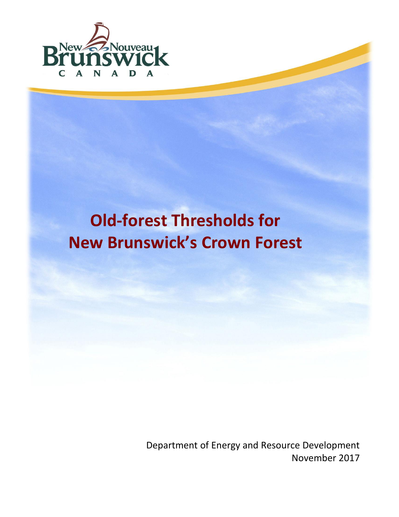

# **Old-forest Thresholds for New Brunswick's Crown Forest**

Department of Energy and Resource Development November 2017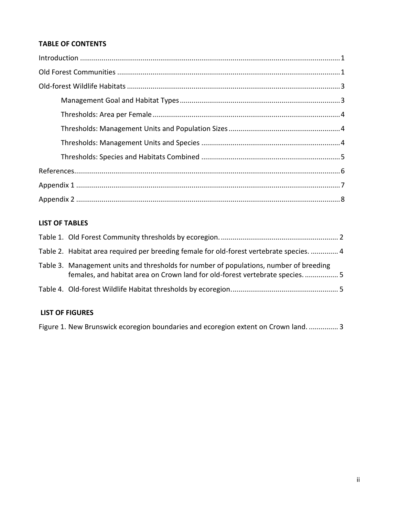### **TABLE OF CONTENTS**

## **LIST OF TABLES**

| Table 2. Habitat area required per breeding female for old-forest vertebrate species.  4                                                                              |  |
|-----------------------------------------------------------------------------------------------------------------------------------------------------------------------|--|
| Table 3. Management units and thresholds for number of populations, number of breeding<br>females, and habitat area on Crown land for old-forest vertebrate species 5 |  |
|                                                                                                                                                                       |  |
|                                                                                                                                                                       |  |

## **LIST OF FIGURES**

Figure 1. [New Brunswick ecoregion boundaries and ecoregion extent on Crown](#page-4-3) land. ............... 3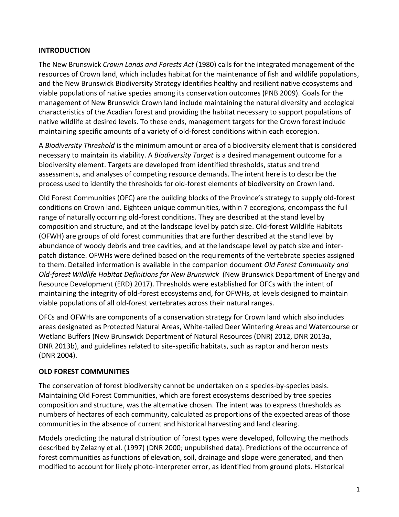### <span id="page-2-0"></span>**INTRODUCTION**

The New Brunswick *Crown Lands and Forests Act* (1980) calls for the integrated management of the resources of Crown land, which includes habitat for the maintenance of fish and wildlife populations, and the New Brunswick Biodiversity Strategy identifies healthy and resilient native ecosystems and viable populations of native species among its conservation outcomes (PNB 2009). Goals for the management of New Brunswick Crown land include maintaining the natural diversity and ecological characteristics of the Acadian forest and providing the habitat necessary to support populations of native wildlife at desired levels. To these ends, management targets for the Crown forest include maintaining specific amounts of a variety of old-forest conditions within each ecoregion.

A *Biodiversity Threshold* is the minimum amount or area of a biodiversity element that is considered necessary to maintain its viability. A *Biodiversity Target* is a desired management outcome for a biodiversity element. Targets are developed from identified thresholds, status and trend assessments, and analyses of competing resource demands. The intent here is to describe the process used to identify the thresholds for old-forest elements of biodiversity on Crown land.

Old Forest Communities (OFC) are the building blocks of the Province's strategy to supply old-forest conditions on Crown land. Eighteen unique communities, within 7 ecoregions, encompass the full range of naturally occurring old-forest conditions. They are described at the stand level by composition and structure, and at the landscape level by patch size. Old-forest Wildlife Habitats (OFWH) are groups of old forest communities that are further described at the stand level by abundance of woody debris and tree cavities, and at the landscape level by patch size and interpatch distance. OFWHs were defined based on the requirements of the vertebrate species assigned to them. Detailed information is available in the companion document *Old Forest Community and Old-forest Wildlife Habitat Definitions for New Brunswick* (New Brunswick Department of Energy and Resource Development (ERD) 2017). Thresholds were established for OFCs with the intent of maintaining the integrity of old-forest ecosystems and, for OFWHs, at levels designed to maintain viable populations of all old-forest vertebrates across their natural ranges.

OFCs and OFWHs are components of a conservation strategy for Crown land which also includes areas designated as Protected Natural Areas, White-tailed Deer Wintering Areas and Watercourse or Wetland Buffers (New Brunswick Department of Natural Resources (DNR) 2012, DNR 2013a, DNR 2013b), and guidelines related to site-specific habitats, such as raptor and heron nests (DNR 2004).

#### <span id="page-2-1"></span>**OLD FOREST COMMUNITIES**

The conservation of forest biodiversity cannot be undertaken on a species-by-species basis. Maintaining Old Forest Communities, which are forest ecosystems described by tree species composition and structure, was the alternative chosen. The intent was to express thresholds as numbers of hectares of each community, calculated as proportions of the expected areas of those communities in the absence of current and historical harvesting and land clearing.

Models predicting the natural distribution of forest types were developed, following the methods described by Zelazny et al. (1997) (DNR 2000; unpublished data). Predictions of the occurrence of forest communities as functions of elevation, soil, drainage and slope were generated, and then modified to account for likely photo-interpreter error, as identified from ground plots. Historical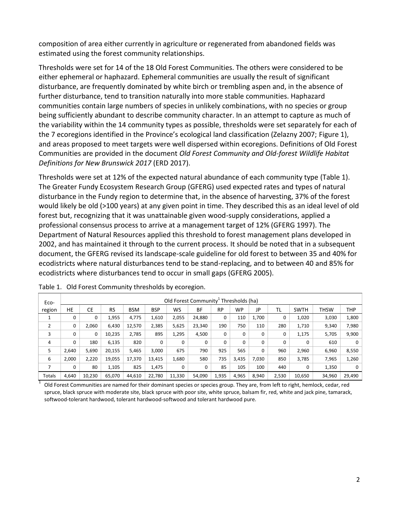composition of area either currently in agriculture or regenerated from abandoned fields was estimated using the forest community relationships.

Thresholds were set for 14 of the 18 Old Forest Communities. The others were considered to be either ephemeral or haphazard. Ephemeral communities are usually the result of significant disturbance, are frequently dominated by white birch or trembling aspen and, in the absence of further disturbance, tend to transition naturally into more stable communities. Haphazard communities contain large numbers of species in unlikely combinations, with no species or group being sufficiently abundant to describe community character. In an attempt to capture as much of the variability within the 14 community types as possible, thresholds were set separately for each of the 7 ecoregions identified in the Province's ecological land classification (Zelazny 2007; [Figure 1\)](#page-4-3), and areas proposed to meet targets were well dispersed within ecoregions. Definitions of Old Forest Communities are provided in the document *Old Forest Community and Old-forest Wildlife Habitat Definitions for New Brunswick 2017* (ERD 2017).

Thresholds were set at 12% of the expected natural abundance of each community type [\(Table 1\)](#page-3-0). The Greater Fundy Ecosystem Research Group (GFERG) used expected rates and types of natural disturbance in the Fundy region to determine that, in the absence of harvesting, 37% of the forest would likely be old (>100 years) at any given point in time. They described this as an ideal level of old forest but, recognizing that it was unattainable given wood-supply considerations, applied a professional consensus process to arrive at a management target of 12% (GFERG 1997). The Department of Natural Resources applied this threshold to forest management plans developed in 2002, and has maintained it through to the current process. It should be noted that in a subsequent document, the GFERG revised its landscape-scale guideline for old forest to between 35 and 40% for ecodistricts where natural disturbances tend to be stand-replacing, and to between 40 and 85% for ecodistricts where disturbances tend to occur in small gaps (GFERG 2005).

| Eco-           |             | Old Forest Community <sup>+</sup> Thresholds (ha) |           |            |            |        |        |       |          |       |           |             |             |        |
|----------------|-------------|---------------------------------------------------|-----------|------------|------------|--------|--------|-------|----------|-------|-----------|-------------|-------------|--------|
| region         | HE          | <b>CE</b>                                         | <b>RS</b> | <b>BSM</b> | <b>BSP</b> | WS     | ВF     | RP    | WP       | JP    | <b>TL</b> | <b>SWTH</b> | <b>THSW</b> | THP    |
|                | 0           | 0                                                 | 1,955     | 4,775      | 1,610      | 2,055  | 24,880 | 0     | 110      | 1,700 | 0         | 1,020       | 3,030       | 1,800  |
| $\overline{2}$ | 0           | 2,060                                             | 6,430     | 12,570     | 2,385      | 5,625  | 23,340 | 190   | 750      | 110   | 280       | 1,710       | 9,340       | 7,980  |
| 3              | 0           | 0                                                 | 10,235    | 2,785      | 895        | 1,295  | 4,500  | 0     | 0        | 0     | 0         | 1,175       | 5,705       | 9,900  |
| 4              | $\mathbf 0$ | 180                                               | 6,135     | 820        | 0          | 0      | 0      | 0     | $\Omega$ | 0     | 0         | 0           | 610         | 0      |
| 5              | 2.640       | 5,690                                             | 20,155    | 5,465      | 3,000      | 675    | 790    | 925   | 565      | 0     | 960       | 2,960       | 6,960       | 8,550  |
| 6              | 2.000       | 2,220                                             | 19,055    | 17,370     | 13,415     | 1,680  | 580    | 735   | 3,435    | 7,030 | 850       | 3,785       | 7,965       | 1,260  |
|                | 0           | 80                                                | 1,105     | 825        | 1,475      | 0      | 0      | 85    | 105      | 100   | 440       | 0           | 1,350       | 0      |
| Totals         | 4,640       | 10.230                                            | 65.070    | 44.610     | 22.780     | 11,330 | 54,090 | 1,935 | 4,965    | 8,940 | 2,530     | 10,650      | 34,960      | 29,490 |

<span id="page-3-0"></span>Table 1. Old Forest Community thresholds by ecoregion.

1 Old Forest Communities are named for their dominant species or species group. They are, from left to right, hemlock, cedar, red spruce, black spruce with moderate site, black spruce with poor site, white spruce, balsam fir, red, white and jack pine, tamarack, softwood-tolerant hardwood, tolerant hardwood-softwood and tolerant hardwood pure.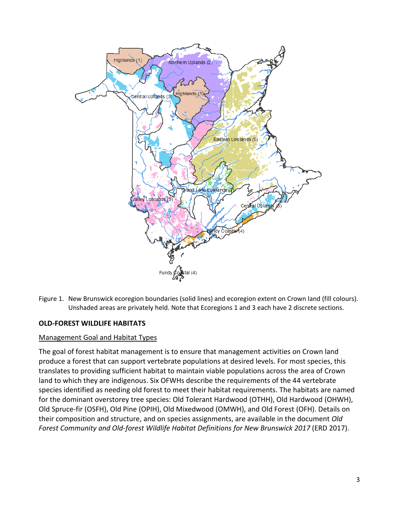

<span id="page-4-3"></span>Figure 1. New Brunswick ecoregion boundaries (solid lines) and ecoregion extent on Crown land (fill colours). Unshaded areas are privately held. Note that Ecoregions 1 and 3 each have 2 discrete sections.

#### <span id="page-4-0"></span>**OLD-FOREST WILDLIFE HABITATS**

#### <span id="page-4-1"></span>Management Goal and Habitat Types

<span id="page-4-2"></span>The goal of forest habitat management is to ensure that management activities on Crown land produce a forest that can support vertebrate populations at desired levels. For most species, this translates to providing sufficient habitat to maintain viable populations across the area of Crown land to which they are indigenous. Six OFWHs describe the requirements of the 44 vertebrate species identified as needing old forest to meet their habitat requirements. The habitats are named for the dominant overstorey tree species: Old Tolerant Hardwood (OTHH), Old Hardwood (OHWH), Old Spruce-fir (OSFH), Old Pine (OPIH), Old Mixedwood (OMWH), and Old Forest (OFH). Details on their composition and structure, and on species assignments, are available in the document *Old Forest Community and Old-forest Wildlife Habitat Definitions for New Brunswick 2017* (ERD 2017).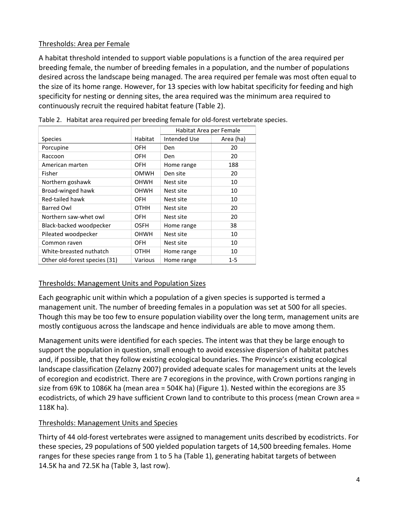### Thresholds: Area per Female

A habitat threshold intended to support viable populations is a function of the area required per breeding female, the number of breeding females in a population, and the number of populations desired across the landscape being managed. The area required per female was most often equal to the size of its home range. However, for 13 species with low habitat specificity for feeding and high specificity for nesting or denning sites, the area required was the minimum area required to continuously recruit the required habitat feature [\(Table 2\)](#page-5-2).

|                               |             | Habitat Area per Female |           |  |  |
|-------------------------------|-------------|-------------------------|-----------|--|--|
| <b>Species</b>                | Habitat     | Intended Use            | Area (ha) |  |  |
| Porcupine                     | OFH         | Den                     | 20        |  |  |
| Raccoon                       | OFH         | Den                     | 20        |  |  |
| American marten               | OFH         | Home range              | 188       |  |  |
| Fisher                        | <b>OMWH</b> | Den site                | 20        |  |  |
| Northern goshawk              | OHWH        | Nest site               | 10        |  |  |
| Broad-winged hawk             | OHWH        | Nest site               | 10        |  |  |
| Red-tailed hawk               | OFH         | Nest site               | 10        |  |  |
| <b>Barred Owl</b>             | <b>OTHH</b> | Nest site               | 20        |  |  |
| Northern saw-whet owl         | OFH         | Nest site               | 20        |  |  |
| Black-backed woodpecker       | OSFH        | Home range              | 38        |  |  |
| Pileated woodpecker           | OHWH        | Nest site               | 10        |  |  |
| Common raven                  | OFH         | Nest site               | 10        |  |  |
| White-breasted nuthatch       | <b>OTHH</b> | Home range              | 10        |  |  |
| Other old-forest species (31) | Various     | Home range              | $1 - 5$   |  |  |

<span id="page-5-2"></span>

| Table 2. Habitat area required per breeding female for old-forest vertebrate species. |  |  |  |  |  |  |  |
|---------------------------------------------------------------------------------------|--|--|--|--|--|--|--|
|---------------------------------------------------------------------------------------|--|--|--|--|--|--|--|

#### <span id="page-5-0"></span>Thresholds: Management Units and Population Sizes

Each geographic unit within which a population of a given species is supported is termed a management unit. The number of breeding females in a population was set at 500 for all species. Though this may be too few to ensure population viability over the long term, management units are mostly contiguous across the landscape and hence individuals are able to move among them.

Management units were identified for each species. The intent was that they be large enough to support the population in question, small enough to avoid excessive dispersion of habitat patches and, if possible, that they follow existing ecological boundaries. The Province's existing ecological landscape classification (Zelazny 2007) provided adequate scales for management units at the levels of ecoregion and ecodistrict. There are 7 ecoregions in the province, with Crown portions ranging in size from 69K to 1086K ha (mean area = 504K ha) [\(Figure 1\)](#page-4-3). Nested within the ecoregions are 35 ecodistricts, of which 29 have sufficient Crown land to contribute to this process (mean Crown area = 118K ha).

## <span id="page-5-1"></span>Thresholds: Management Units and Species

Thirty of 44 old-forest vertebrates were assigned to management units described by ecodistricts. For these species, 29 populations of 500 yielded population targets of 14,500 breeding females. Home ranges for these species range from 1 to 5 ha [\(Table 1\)](#page-3-0), generating habitat targets of between 14.5K ha and 72.5K ha [\(Table 3,](#page-6-1) last row).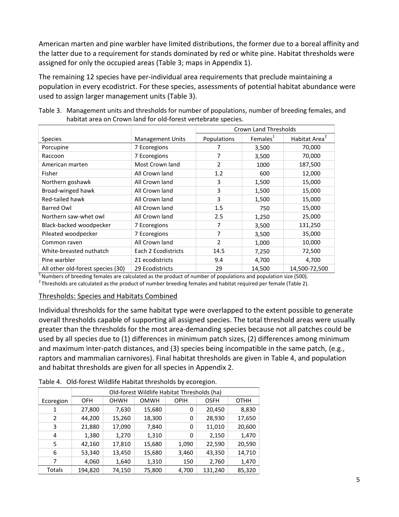American marten and pine warbler have limited distributions, the former due to a boreal affinity and the latter due to a requirement for stands dominated by red or white pine. Habitat thresholds were assigned for only the occupied areas [\(Table 3;](#page-6-1) maps in [Appendix 1\)](#page-8-0).

The remaining 12 species have per-individual area requirements that preclude maintaining a population in every ecodistrict. For these species, assessments of potential habitat abundance were used to assign larger management units [\(Table 3\)](#page-6-1).

<span id="page-6-1"></span>Table 3. Management units and thresholds for number of populations, number of breeding females, and habitat area on Crown land for old-forest vertebrate species.

|                                   |                         | Crown Land Thresholds |                      |                           |  |  |
|-----------------------------------|-------------------------|-----------------------|----------------------|---------------------------|--|--|
| <b>Species</b>                    | <b>Management Units</b> | Populations           | Females <sup>1</sup> | Habitat Area <sup>2</sup> |  |  |
| Porcupine                         | 7 Ecoregions            |                       | 3,500                | 70,000                    |  |  |
| Raccoon                           | 7 Ecoregions            | 7                     | 3,500                | 70,000                    |  |  |
| American marten                   | Most Crown land         | 2                     | 1000                 | 187,500                   |  |  |
| Fisher                            | All Crown land          | 1.2                   | 600                  | 12,000                    |  |  |
| Northern goshawk                  | All Crown land          | 3                     | 1,500                | 15,000                    |  |  |
| Broad-winged hawk                 | All Crown land          | 3                     | 1,500                | 15,000                    |  |  |
| Red-tailed hawk                   | All Crown land          | 3                     | 1,500                | 15,000                    |  |  |
| Barred Owl                        | All Crown land          | 1.5                   | 750                  | 15,000                    |  |  |
| Northern saw-whet owl             | All Crown land          | 2.5                   | 1,250                | 25,000                    |  |  |
| Black-backed woodpecker           | 7 Ecoregions            | 7                     | 3,500                | 131,250                   |  |  |
| Pileated woodpecker               | 7 Ecoregions            | 7                     | 3,500                | 35,000                    |  |  |
| Common raven                      | All Crown land          | 2                     | 1,000                | 10,000                    |  |  |
| White-breasted nuthatch           | Each 2 Ecodistricts     | 14.5                  | 7,250                | 72,500                    |  |  |
| Pine warbler                      | 21 ecodistricts         | 9.4                   | 4,700                | 4,700                     |  |  |
| All other old-forest species (30) | 29 Ecodistricts         | 29                    | 14,500               | 14,500-72,500             |  |  |

 $1$  Numbers of breeding females are calculated as the product of number of populations and population size (500).

 $^2$ Thresholds are calculated as the product of number breeding females and habitat required per female [\(Table 2\)](#page-5-2).

#### <span id="page-6-0"></span>Thresholds: Species and Habitats Combined

Individual thresholds for the same habitat type were overlapped to the extent possible to generate overall thresholds capable of supporting all assigned species. The total threshold areas were usually greater than the thresholds for the most area-demanding species because not all patches could be used by all species due to (1) differences in minimum patch sizes, (2) differences among minimum and maximum inter-patch distances, and (3) species being incompatible in the same patch, (e.g., raptors and mammalian carnivores). Final habitat thresholds are given in [Table 4,](#page-6-2) and population and habitat thresholds are given for all species in [Appendix 2.](#page-9-0)

|           | Old-forest Wildlife Habitat Thresholds (ha) |        |             |             |             |        |  |  |  |  |
|-----------|---------------------------------------------|--------|-------------|-------------|-------------|--------|--|--|--|--|
| Ecoregion | OFH                                         | OHWH   | <b>OMWH</b> | <b>OPIH</b> | <b>OSFH</b> | OTHH   |  |  |  |  |
| 1         | 27,800                                      | 7,630  | 15,680      | 0           | 20,450      | 8,830  |  |  |  |  |
| 2         | 44,200                                      | 15,260 | 18,300      | 0           | 28,930      | 17,650 |  |  |  |  |
| 3         | 21,880                                      | 17,090 | 7,840       | 0           | 11,010      | 20,600 |  |  |  |  |
| 4         | 1,380                                       | 1,270  | 1,310       | 0           | 2,150       | 1,470  |  |  |  |  |
| 5         | 42,160                                      | 17,810 | 15,680      | 1,090       | 22,590      | 20,590 |  |  |  |  |
| 6         | 53,340                                      | 13,450 | 15,680      | 3,460       | 43,350      | 14,710 |  |  |  |  |
| 7         | 4,060                                       | 1,640  | 1,310       | 150         | 2,760       | 1,470  |  |  |  |  |
| Totals    | 194,820                                     | 74,150 | 75,800      | 4,700       | 131,240     | 85,320 |  |  |  |  |

<span id="page-6-2"></span>Table 4. Old-forest Wildlife Habitat thresholds by ecoregion.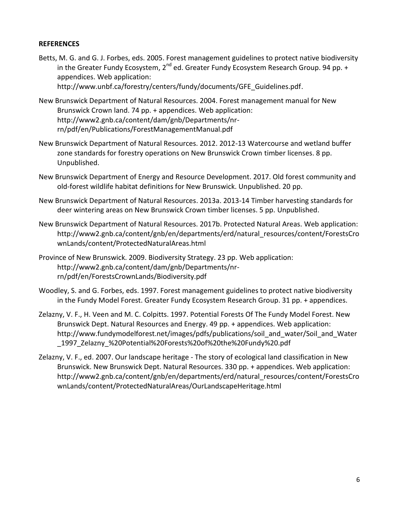#### <span id="page-7-0"></span>**REFERENCES**

Betts, M. G. and G. J. Forbes, eds. 2005. Forest management guidelines to protect native biodiversity in the Greater Fundy Ecosystem,  $2^{nd}$  ed. Greater Fundy Ecosystem Research Group. 94 pp.  $+$ appendices. Web application:

[http://www.unbf.ca/forestry/centers/fundy/documents/GFE\\_Guidelines.pdf.](http://www.unbf.ca/forestry/centers/fundy/documents/GFE_Guidelines.pdf)

- New Brunswick Department of Natural Resources. 2004. Forest management manual for New Brunswick Crown land. 74 pp. + appendices. Web application: [http://www2.gnb.ca/content/dam/gnb/Departments/nr](http://www2.gnb.ca/content/dam/gnb/Departments/nr-rn/pdf/en/Publications/ForestManagementManual.pdf)[rn/pdf/en/Publications/ForestManagementManual.pdf](http://www2.gnb.ca/content/dam/gnb/Departments/nr-rn/pdf/en/Publications/ForestManagementManual.pdf)
- New Brunswick Department of Natural Resources. 2012. 2012-13 Watercourse and wetland buffer zone standards for forestry operations on New Brunswick Crown timber licenses. 8 pp. Unpublished.
- New Brunswick Department of Energy and Resource Development. 2017. Old forest community and old-forest wildlife habitat definitions for New Brunswick. Unpublished. 20 pp.
- New Brunswick Department of Natural Resources. 2013a. 2013-14 Timber harvesting standards for deer wintering areas on New Brunswick Crown timber licenses. 5 pp. Unpublished.
- New Brunswick Department of Natural Resources. 2017b. Protected Natural Areas. Web application: [http://www2.gnb.ca/content/gnb/en/departments/erd/natural\\_resources/content/ForestsCro](http://www2.gnb.ca/content/gnb/en/departments/erd/natural_resources/content/ForestsCrownLands/content/ProtectedNaturalAreas.html) [wnLands/content/ProtectedNaturalAreas.html](http://www2.gnb.ca/content/gnb/en/departments/erd/natural_resources/content/ForestsCrownLands/content/ProtectedNaturalAreas.html)
- Province of New Brunswick. 2009. Biodiversity Strategy. 23 pp. Web application: [http://www2.gnb.ca/content/dam/gnb/Departments/nr](http://www2.gnb.ca/content/dam/gnb/Departments/nr-rn/pdf/en/ForestsCrownLands/Biodiversity.pdf)[rn/pdf/en/ForestsCrownLands/Biodiversity.pdf](http://www2.gnb.ca/content/dam/gnb/Departments/nr-rn/pdf/en/ForestsCrownLands/Biodiversity.pdf)
- Woodley, S. and G. Forbes, eds. 1997. Forest management guidelines to protect native biodiversity in the Fundy Model Forest. Greater Fundy Ecosystem Research Group. 31 pp. + appendices.
- Zelazny, V. F., H. Veen and M. C. Colpitts. 1997. Potential Forests Of The Fundy Model Forest. New Brunswick Dept. Natural Resources and Energy. 49 pp. + appendices. Web application: http://www.fundymodelforest.net/images/pdfs/publications/soil and water/Soil and Water [\\_1997\\_Zelazny\\_%20Potential%20Forests%20of%20the%20Fundy%20.pdf](http://www.fundymodelforest.net/images/pdfs/publications/soil_and_water/Soil_and_Water_1997_Zelazny_%20Potential%20Forests%20of%20the%20Fundy%20.pdf)
- Zelazny, V. F., ed. 2007. Our landscape heritage The story of ecological land classification in New Brunswick. New Brunswick Dept. Natural Resources. 330 pp. + appendices. Web application: [http://www2.gnb.ca/content/gnb/en/departments/erd/natural\\_resources/content/ForestsCro](http://www2.gnb.ca/content/gnb/en/departments/erd/natural_resources/content/ForestsCrownLands/content/ProtectedNaturalAreas/OurLandscapeHeritage.html) [wnLands/content/ProtectedNaturalAreas/OurLandscapeHeritage.html](http://www2.gnb.ca/content/gnb/en/departments/erd/natural_resources/content/ForestsCrownLands/content/ProtectedNaturalAreas/OurLandscapeHeritage.html)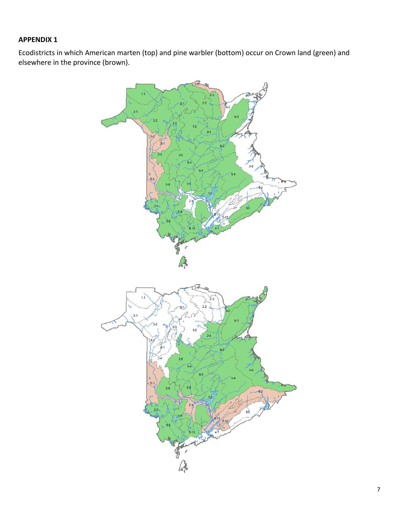# <span id="page-8-0"></span>**APPENDIX 1**

Ecodistricts in which American marten (top) and pine warbler (bottom) occur on Crown land (green) and elsewhere in the province (brown).